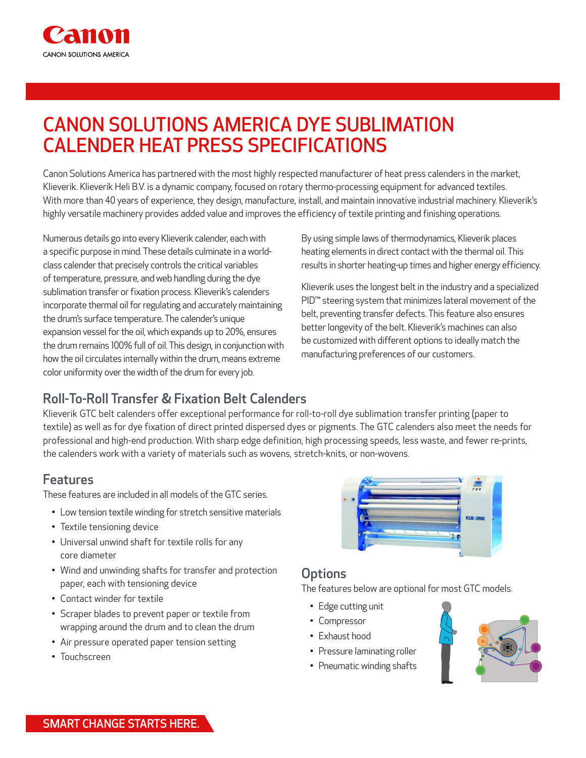

# CANON SOLUTIONS AMERICA DYE SUBLIMATION CALENDER HEAT PRESS SPECIFICATIONS

Canon Solutions America has partnered with the most highly respected manufacturer of heat press calenders in the market, Klieverik. Klieverik Heli B.V. is a dynamic company, focused on rotary thermo-processing equipment for advanced textiles. With more than 40 years of experience, they design, manufacture, install, and maintain innovative industrial machinery. Klieverik's highly versatile machinery provides added value and improves the efficiency of textile printing and finishing operations.

Numerous details go into every Klieverik calender, each with a specific purpose in mind. These details culminate in a worldclass calender that precisely controls the critical variables of temperature, pressure, and web handling during the dye sublimation transfer or fixation process. Klieverik's calenders incorporate thermal oil for regulating and accurately maintaining the drum's surface temperature. The calender's unique expansion vessel for the oil, which expands up to 20%, ensures the drum remains 100% full of oil. This design, in conjunction with how the oil circulates internally within the drum, means extreme color uniformity over the width of the drum for every job.

By using simple laws of thermodynamics, Klieverik places heating elements in direct contact with the thermal oil. This results in shorter heating-up times and higher energy efficiency.

Klieverik uses the longest belt in the industry and a specialized PID<sup>™</sup> steering system that minimizes lateral movement of the belt, preventing transfer defects. This feature also ensures better longevity of the belt. Klieverik's machines can also be customized with different options to ideally match the manufacturing preferences of our customers.

## Roll-To-Roll Transfer & Fixation Belt Calenders

Klieverik GTC belt calenders offer exceptional performance for roll-to-roll dye sublimation transfer printing (paper to textile) as well as for dye fixation of direct printed dispersed dyes or pigments. The GTC calenders also meet the needs for professional and high-end production. With sharp edge definition, high processing speeds, less waste, and fewer re-prints, the calenders work with a variety of materials such as wovens, stretch-knits, or non-wovens.

#### Features

These features are included in all models of the GTC series.

- Low tension textile winding for stretch sensitive materials
- Textile tensioning device
- Universal unwind shaft for textile rolls for any core diameter
- Wind and unwinding shafts for transfer and protection paper, each with tensioning device
- Contact winder for textile
- Scraper blades to prevent paper or textile from wrapping around the drum and to clean the drum
- Air pressure operated paper tension setting
- Touchscreen



#### **Options**

The features below are optional for most GTC models.

- Edge cutting unit
- Compressor
- Exhaust hood
- Pressure laminating roller
- Pneumatic winding shafts